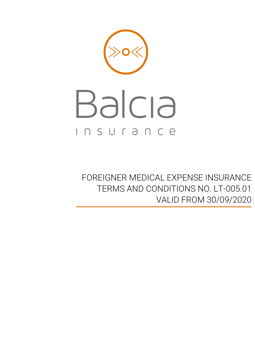

# Balcia INSUrance

FOREIGNER MEDICAL EXPENSE INSURANCE TERMS AND CONDITIONS NO. LT-005.01 VALID FROM 30/09/2020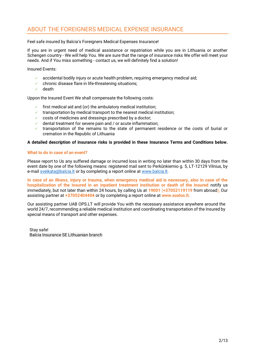# ABOUT THE FOREIGNERS MEDICAL EXPENSE INSURANCE

#### Feel safe insured by Balcia's Foreigners Medical Expenses Insurance!

If you are in urgent need of medical assistance or repatriation while you are in Lithuania or another Schengen country - We will help You. We are sure that the range of insurance risks We offer will meet your needs. And if You miss something - contact us, we will definitely find a solution!

Insured Events:

- $\checkmark$  accidental bodily injury or acute health problem, requiring emergency medical aid;
- $\checkmark$  chronic disease flare in life-threatening situations;
- ✓ death

Uppon the Insured Event We shall compensate the following costs:

- first medical aid and (or) the ambulatory medical institution;
- $\checkmark$  transportation by medical transport to the nearest medical institution;
- costs of medicines and dressings prescribed by a doctor;
- dental treatment for severe pain and / or acute inflammation;
- transportation of the remains to the state of permanent residence or the costs of burial or cremation in the Republic of Lithuania

#### **A detailed description of insurance risks is provided in these Insurance Terms and Conditions below.**

#### **What to do in case of an event?**

Please report to Us any suffered damage or incurred loss in writing no later than within 30 days from the event date by one of the following means: registered mail sent to Perkūnkiemio g. 5, LT-12129 Vilnius, by e-mai[l sveikata@balcia.lt](mailto:sveikata@balcia.lt) or by completing a report online at [www.balcia.lt.](http://www.balcia.lt/)

**In case of an illness, injury or trauma, when emergency medical aid is necessary, also in case of the hospitalization of the Insured in an inpatient treatment institution or death of the Insured** notify us immediately, but not later than within 24 hours, by calling Us at **19001** (**+37052119119** from abroad)**,** Our assisting partner at **+37052404404** or by completing a report online at **www.ezalos.lt.**

Our assisting partner UAB OPS.LT will provide You with the necessary assistance anywhere around the world 24/7, recommending a reliable medical institution and coordinating transportation of the Insured by special means of transport and other expenses.

Stay safe! Balcia Insurance SE Lithuanian branch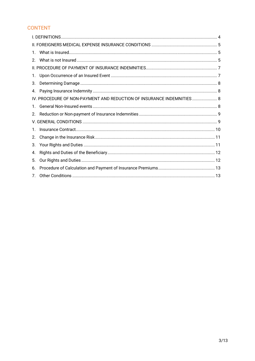# **CONTENT**

| 1.      |                                                                       |  |  |
|---------|-----------------------------------------------------------------------|--|--|
| $2_{-}$ |                                                                       |  |  |
|         |                                                                       |  |  |
| 1.      |                                                                       |  |  |
| 3.      |                                                                       |  |  |
| 4.      |                                                                       |  |  |
|         | IV. PROCEDURE OF NON-PAYMENT AND REDUCTION OF INSURANCE INDEMNITIES 8 |  |  |
| 1.      |                                                                       |  |  |
| 2.      |                                                                       |  |  |
|         |                                                                       |  |  |
| 1.      |                                                                       |  |  |
| 2.      |                                                                       |  |  |
| 3.      |                                                                       |  |  |
| 4.      |                                                                       |  |  |
| 5.      |                                                                       |  |  |
| 6.      |                                                                       |  |  |
| 7.      |                                                                       |  |  |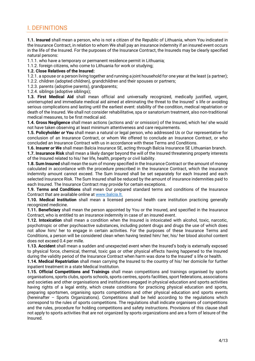# <span id="page-3-0"></span>I. DEFINITIONS

**1.1. Insured** shall mean a person, who is not a citizen of the Republic of Lithuania, whom You indicated in the Insurance Contract, in relation to whom We shall pay an insurance indemnity if an insured event occurs in the life of the Insured. For the purposes of the Insurance Contract, the Insureds may be clearly specified natural persons:

1.1.1. who have a temporary or permanent residence permit in Lithuania;

1.1.2. foreign citizens, who come to Lithuania for work or studving:

#### **1.2. Close Relatives of the Insured:**

1.2.1. a spouse or a person living together and running a joint household for one year at the least (a partner); 1.2.2. children (adopted children), grandchildren and their spouses or partners;

1.2.3. parents (adoptive parents), grandparents;

1.2.4. siblings (adoptive siblings);

**1.3. First Medical Aid** shall mean official and universally recognized, medically justified, urgent, uninterrupted and immediate medical aid aimed at eliminating the threat to the Insured' s life or avoiding serious complications and lasting until the earliest event: stability of the condition, medical repatriation or death of the Insured. We shall not consider rehabilitative, spa or sanatorium treatment, also non-traditional medical measures, to be first medical aid.

**1.4. Gross Negligence** shall mean actions (actions and/ or omission) of the Insured, which he/ she would not have taken observing at least minimum attentiveness and care requirements.

**1.5. Policyholder** *or* **You** shall mean a natural or legal person, who addressed Us or Our representative for conclusion of an Insurance Contract, or whom We offered to conclude an Insurance Contract, or who concluded an Insurance Contract with us in accordance with these Terms and Conditions.

**1.6. Insurer** *or* **We** shall mean Balcia Insurance SE, acting through Balcia Insurance SE Lithuanian branch.

**1.7. Insurance Risk** shall mean a likely danger beyond the will of the Insured threatening property interests of the Insured related to his/ her life, health, property or civil liability.

**1.8. Sum Insured** shall mean the sum of money specified in the Insurance Contract or the amount of money calculated in accordance with the procedure prescribed in the Insurance Contract, which the insurance indemnity amount cannot exceed. The Sum Insured shall be set separately for each Insured and each selected Insurance Risk. The Sum Insured shall be reduced by the amount of insurance indemnities paid to each Insured. The Insurance Contract may provide for certain exceptions.

**1.9. Terms and Conditions** shall mean Our prepared standard terms and conditions of the Insurance Contract that are available online at [www.balcia.lt.](http://www.balcia.lt/)

**1.10. Medical Institution** shall mean a licensed personal health care institution practicing generally recognized medicine.

**1.11. Beneficiary** shall mean the person appointed by You or the Insured, and specified in the Insurance Contract, who is entitled to an insurance indemnity in case of an insured event.

**1.12. Intoxication** shall mean a condition when the Insured is intoxicated with alcohol, toxic, narcotic, psychotropic or other psychoactive substances, including potent drugs and drugs the use of which does not allow him/ her to engage in certain activities. For the purposes of these Insurance Terms and Conditions, a person will be considered clean when having tested him/ her, his/ her blood alcohol content does not exceed 0.4 per mille.

**1.13. Accident** shall mean a sudden and unexpected event when the Insured's body is externally exposed to physical force, chemical, thermal, toxic gas or other physical effects having happened to the Insured during the validity period of the Insurance Contract when harm was done to the Insured' s life or health.

**1.14. Medical Repatriation** shall mean carrying the Insured to the country of his/ her domicile for further inpatient treatment in a state Medical Institution.

**1.15. Official Competitions and Trainings** shall mean competitions and trainings organised by sports organisations, sports clubs, sports schools, sports centres, sports facilities, sport federations, associations and societies and other organisations and institutions engaged in physical education and sports activities having rights of a legal entity, which create conditions for practicing physical education and sports, preparing sportsmen, organising sports competitions and other physical education and sports events (hereinafter – Sports Organizations). Competitions shall be held according to the regulations which correspond to the rules of sports competitions. The regulations shall indicate organisers of competitions and the rules, procedure for holding competitions and safety instructions. Provisions of this clause shall not apply to sports activities that are not organized by sports organizations and are a form of leisure of the Insured.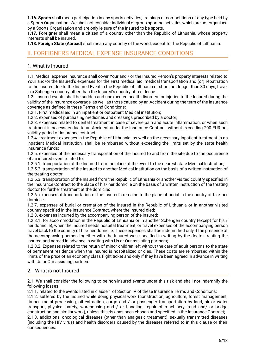**1.16. Sports** shall mean participation in any sports activities, trainings or competitions of any type held by a Sports Organisation. We shall not consider individual or group sporting activities which are not organised by a Sports Organisation and are only leisure of the Insured to be sports.

**1.17. Foreigner** shall mean a citizen of a country other than the Republic of Lithuania, whose property interests shall be insured.

**1.18. Foreign State (Abroad)** shall mean any country of the world, except for the Republic of Lithuania.

## <span id="page-4-0"></span>II. FOREIGNERS MEDICAL EXPENSE INSURANCE CONDITIONS

#### <span id="page-4-1"></span>1. What is Insured

1.1. Medical expense insurance shall cover Your and / or the Insured Person's property interests related to Your and/or the Insured's expenses for the First medical aid, medical transportation and (or) repatriation to the Insured due to the Insured Event in the Republic of Lithuania or short, not longer than 30 days, travel in a Schengen country other than the Insured's country of residence.

1.2. Insured events shall be sudden and unexpected health disorders or injuries to the Insured during the validity of the insurance coverage, as well as those caused by an Accident during the term of the insurance coverage as defined in these Terms and Conditions:

1.2.1. First medical aid in an inpatient or outpatient Medical institution;

1.2.2. expenses of purchasing medicines and dressings prescribed by a doctor;

1.2.3. expenses related to dental treatment in case of severe pain and acute inflammation, or when such treatment is necessary due to an Accident under the Insurance Contract, without exceeding 200 EUR per validity period of insurance contract;

1.2.4. treatment expenses in the Republic of Lithuania, as well as the necessary inpatient treatment in an inpatient Medical institution, shall be reimbursed without exceeding the limits set by the state health insurance funds;

1.2.5. expenses of the necessary transportation of the Insured to and from the site due to the occurrence of an insured event related to:

1.2.5.1. transportation of the Insured from the place of the event to the nearest state Medical Institution;

1.2.5.2. transportation of the Insured to another Medical Institution on the basis of a written instruction of the treating doctor;

1.2.5.3. transportation of the Insured from the Republic of Lithuania or another visited country specified in the Insurance Contract to the place of his/ her domicile on the basis of a written instruction of the treating doctor for further treatment at the domicile;

1.2.6. expenses of transportation of the Insured's remains to the place of burial in the country of his/ her domicile;

1.2.7. expenses of burial or cremation of the Insured in the Republic of Lithuania or in another visited country specified in the Insurance Contract, where the Insured died;

1.2.8. expenses incurred by the accompanying person of the Insured:

1.2.8.1. for accommodation in the Republic of Lithuania or in another Schengen country (except for his / her domicile), when the Insured needs hospital treatment, or travel expenses of the accompanying person travel back to the country of his/ her domicile. These expenses shall be indemnified only if the presence of the accompanying person together with the Insured was specified in writing by the doctor treating the Insured and agreed in advance in writing with Us or Our assisting partners;

1.2.8.2. Expenses related to the return of minor children left without the care of adult persons to the state of permanent residence when the Insured is hospitalized or dies. These costs are reimbursed within the limits of the price of an economy class flight ticket and only if they have been agreed in advance in writing with Us or Our assisting partners.

## <span id="page-4-2"></span>2. What is not Insured

2.1. We shall consider the following to be non-insured events under this risk and shall not indemnify the following losses:

2.1.1. related to the events listed in clause 1 of Section IV of these Insurance Terms and Conditions;

2.1.2. suffered by the Insured while doing physical work (construction, agriculture, forest management, timber, metal processing, oil extraction, cargo and / or passenger transportation by land, air or water transport, physical safety, warehousing and / or handling, repair of machinery, road and/ or bridge construction and similar work), unless this risk has been chosen and specified in the Insurance Contract; 2.1.3. addictions, oncological diseases (other than analgesic treatment), sexually transmitted diseases (including the HIV virus) and health disorders caused by the diseases referred to in this clause or their consequences.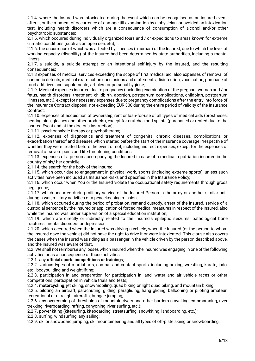2.1.4. where the Insured was Intoxicated during the event which can be recognised as an insured event, after it, or the moment of occurrence of damage till examination by a physician, or avoided an Intoxication test, including health disorders which are a consequence of consumption of alcohol and/or other psychotropic substances;

2.1.5. which occurred during individually organized tours and / or expeditions to areas known for extreme climatic conditions (such as an open sea, etc);

2.1.6. the occurrence of which was affected by illnesses (traumas) of the Insured, due to which the level of working capacity (disability) of the Insured had been determined by state authorities, including a mental illness;

2.1.7. a suicide, a suicide attempt or an intentional self-injury by the Insured, and the resulting consequences;

2.1.8 expenses of medical services exceeding the scope of first medical aid, also expenses of removal of cosmetic defects, medical examination conclusions and statements, disinfection, vaccination, purchase of food additives and supplements, articles for personal hygiene;

2.1.9. Medical expenses incurred due to pregnancy (including examination of the pregnant woman and / or fetus, health disorders, treatment, childbirth, abortion, postpartum complications, childbirth, postpartum illnesses, etc.), except for necessary expenses due to pregnancy complications after the entry into force of the Insurance Contract disposal, not exceeding EUR 300 during the entire period of validity of the Insurance Contract;

2.1.10. expenses of acquisition of ownership, rent or loan-for-use of all types of medical aids (prostheses, hearing aids, glasses and other products), except for crutches and splints (purchased or rented due to the Insured Event and at the doctor's instruction);

2.1.11. psychoanalytic therapy or psychotherapy;

2.1.12. expenses of diagnostics and treatment of congenital chronic diseases, complications or exacerbation thereof and diseases which started before the start of the insurance coverage irrespective of whether they were treated before the event or not, including indirect expenses, except for the expenses of removal of severe pains and life-threatening conditions;

2.1.13. expenses of a person accompanying the Insured in case of a medical repatriation incurred in the country of his/ her domicile;

2.1.14. the search for the body of the Insured;

2.1.15. which occur due to engagement in physical work, sports (including extreme sports), unless such activities have been included as Insurance Risks and specified in the Insurance Policy;

2.1.16. which occur when You or the Insured violate the occupational safety requirements through gross negligence;

2.1.17. which occurred during military service of the Insured Person in the army or another similar unit, during a war, military activities or a peacekeeping mission;

2.1.18. which occurred during the period of probation, remand custody, arrest of the Insured, service of a custodial sentence by the Insured or application of forced medical measures in respect of the Insured, also while the Insured was under supervision of a special education institution;

2.1.19. which are directly or indirectly related to the Insured's epileptic seizures, pathological bone fractures, mental disorders or depression;

2.1.20. which occurred when the Insured was driving a vehicle, when the Insured (or the person to whom the Insured gave the vehicle) did not have the right to drive it or were Intoxicated. This clause also covers the cases when the Insured was riding as a passenger in the vehicle driven by the person described above, and the Insured was aware of that.

2.2. We shall not reimburse any losses which insured when the Insured was engaging in one of the following activities or as a consequence of those activities:

#### 2.2.1. any **official sports competitions or trainings**;

2.2.2. various types of martial arts, combat and contact sports, including boxing, wrestling, karate, judo, etc.; bodybuilding and weightlifting;

2.2.3. participation in and preparation for participation in land, water and air vehicle races or other competitions; participation in vehicle trials and tests;

2.2.4. **motorcycling**, jet skiing, snowmobiling, quad biking or light quad biking, and mountain biking;

2.2.5. piloting an aircraft, parachuting, gliding, paragliding, hang gliding, ballooning or piloting amateur, recreational or ultralight aircrafts; bungee jumping;

2.2.6. any overcoming of thresholds of mountain rivers and other barriers (kayaking, catamaraning, river trekking, riverboarding, rafting, canyoning, river surfing, etc.);

2.2.7. power kiting (kitesurfing, kiteboarding, streetsurfing, snowkiting, landboarding, etc.);

2.2.8. surfing, windsurfing, any sailing;

2.2.9. ski or snowboard jumping, ski mountaineering and all types of off-piste skiing or snowboarding;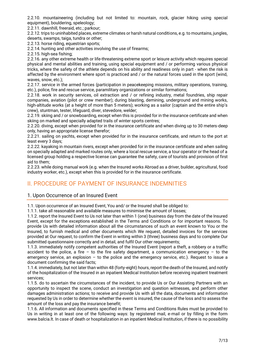2.2.10. mountaineering (including but not limited to: mountain, rock, glacier hiking using special equipment), bouldering, speleology;

2.2.11. dawnhill, freeraid, etc.; parkour;

2.2.12. trips to uninhabited places, extreme climates or harsh natural conditions, e.g. to mountains, jungles, deserts, swamps, taiga, tundra or other;

2.2.13. horse riding, equestrian sports;

2.2.14. hunting and other activities involving the use of firearms;

2.2.15. high-sea fishing;

2.2.16. any other extreme health or life-threatening extreme sport or leisure activity which requires special physical and mental abilities and training, using special equipment and / or performing various physical tricks, where the safety of the athlete depends on his ability and readiness only in part - when the risk is affected by the environment where sport is practiced and / or the natural forces used in the sport (wind, waves, snow, etc.);

2.2.17. service in the armed forces (participation in peacekeeping missions, military operations, training, etc.), police, fire and rescue service, paramilitary organizations or similar formations;

2.2.18. work in security services, oil extraction and / or refining industry, metal foundries, ship repair companies, aviation (pilot or crew member); during blasting, demining, underground and mining works, high-altitude works (at a height of more than 5 meters); working as a sailor (captain and the entire ship's crew), stuntman, tester, lifeguard, diver, stevedore, welder;

2.2.19. skiing and / or snowboarding, except when this is provided for in the insurance certificate and when skiing on marked and specially adapted trails of winter sports centres;

2.2.20. diving, except when provided for in the insurance certificate and when diving up to 30 meters-deep only, having an appropriate license therefor;

2.2.21. sailing on yachts, except when provided for in the insurance certificate, and return to the port at least every 3 days;

2.2.22. kayaking in mountain rivers, except when provided for in the insurance certificate and when sailing on specially adapted and marked routes only, where a local rescue service, a tour operator or the head of a licensed group holding a respective license can guarantee the safety, care of tourists and provision of first aid to them;

2.2.23. while doing manual work (e.g. when the Insured works Abroad as a driver, builder, agricultural, food industry worker, etc.), except when this is provided for in the insurance certificate.

# <span id="page-6-0"></span>II. PROCEDURE OF PAYMENT OF INSURANCE INDEMNITIES

## <span id="page-6-1"></span>1. Upon Occurrence of an Insured Event

1.1. Upon occurrence of an Insured Event, You and/ or the Insured shall be obliged to:

1.1.1. take all reasonable and available measures to minimise the amount of losses;

1.1.2. report the Insured Event to Us not later than within 1 (one) business day from the date of the Insured Event, except for the exceptions established in the Terms and Conditions or for important reasons. To provide Us with detailed information about all the circumstances of such an event known to You or the Insured, to furnish medical and other documents which We request, detailed invoices for the services provided at Our request, to confirm the Event in writing within 3 (three) business days and to complete Our submitted questionnaire correctly and in detail, and fulfil Our other requirements;

1.1.3. immediately notify competent authorities of the Insured Event (report a theft, a robbery or a traffic accident to the police, a fire – to the fire safety department, a communication emergency – to the emergency service, an explosion – to the police and the emergency service, etc.). Request to issue a document confirming the said facts;

1.1.4. immediately, but not later than within 48 (forty-eight) hours, report the death of the Insured, and notify of the hospitalization of the Insured in an inpatient Medical Institution before receiving inpatient treatment services;

1.1.5. do to ascertain the circumstances of the incident, to provide Us or Our Assisting Partners with an opportunity to inspect the scene, conduct an investigation and question witnesses, and perform other damages administration actions; to receive and provide Us with all the data, documents and information requested by Us in order to determine whether the event is insured, the cause of the loss and to assess the amount of the loss and pay the insurance benefit;

1.1.6. All information and documents specified in these Terms and Conditions Rules must be provided to Us in writing in at least one of the following ways: by registered mail, e-mail or by filling in the form www.balcia.lt. In case of death or hospitalization in an inpatient Medical Institution, if there is no possibility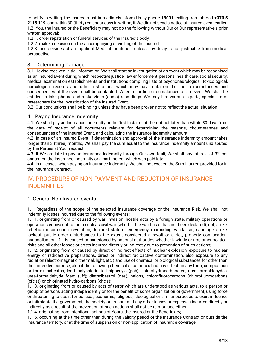to notify in writing, the Insured must immediately inform Us by phone **19001**, calling from abroad **+370 5 2119 119**, and within 30 (thirty) calendar days in writing, if We did not send a notice of insured event earlier. 1.2. You, the Insured or the Beneficiary may not do the following without Our or Our representative's prior written approval:

1.2.1. order repatriation or funeral services of the Insured's body;

1.2.2. make a decision on the accompanying or visiting of the Insured;

1.2.3. use services of an inpatient Medical Institution, unless any delay is not justifiable from medical perspective.

#### <span id="page-7-0"></span>3. Determining Damage

3.1. Having received initial information, We shall start an investigation of an event which may be recognised as an Insured Event during which respective justice, law enforcement, personal health care, social security, medical examination establishments and institutions compiling lists of psychoneurological, toxicological, narcological records and other institutions which may have data on the fact, circumstances and consequences of the event shall be contacted. When recording circumstances of an event, We shall be entitled to take photos and make video (audio) recordings. We may hire various experts, specialists or researchers for the investigation of the Insured Event.

3.2. Our conclusions shall be binding unless they have been proven not to reflect the actual situation.

#### <span id="page-7-1"></span>4. Paying Insurance Indemnity

4.1. We shall pay an Insurance Indemnity or the first instalment thereof not later than within 30 days from the date of receipt of all documents relevant for determining the reasons, circumstances and consequences of the Insured Event, and calculating the Insurance Indemnity amount.

4.2. In case of an Insured Event, if determination and approval of the Insurance Indemnity amount takes longer than 3 (three) months, We shall pay the sum equal to the Insurance Indemnity amount undisputed by the Parties at Your request.

4.3. If We are late to pay an Insurance Indemnity through Our own fault, We shall pay interest of 3% per annum on the Insurance Indemnity or a part thereof which was paid late.

4.4. In all cases, when paying an Insurance Indemnity, We shall not exceed the Sum Insured provided for in the Insurance Contract.

# <span id="page-7-2"></span>IV. PROCEDURE OF NON-PAYMENT AND REDUCTION OF INSURANCE INDEMNITIES

## <span id="page-7-3"></span>1. General Non-Insured events

1.1. Regardless of the scope of the selected insurance coverage or the Insurance Risk, We shall not indemnify losses incurred due to the following events:

1.1.1. originating from or caused by war, invasion, hostile acts by a foreign state, military operations or operations equivalent to them such as civil war (whether the war has or has not been declared), riot, strike, rebellion, insurrection, revolution, declared state of emergency, marauding, vandalism, sabotage, strike, lockout, public order disturbances to the extent considered a revolt or a riot, property confiscation, nationalisation, if it is caused or sanctioned by national authorities whether lawfully or not; other political risks and all other losses or costs incurred directly or indirectly due to prevention of such actions;

1.1.2. originating from or caused by direct or indirect effects of nuclear explosion, exposure to nuclear energy or radioactive preparations, direct or indirect radioactive contamination, also exposure to any radiation (electromagnetic, thermal, light, etc.) and use of chemical or biological substances for other than their intended purpose, also if the following chemical substances had any effect (in any form, composition or form): asbestos, lead, polychlorinated biphenyls (pcb), chlorohydrocarbonates, urea formaldehydes, urea-formaldehyde foam (uff); diethylbestrol (des), halons, chlorofluorocarbons (chlorofluorocarbons (cfc's)) or chlorinated hydro-carbons (chc's);

1.1.3. originating from or caused by acts of terror which are understood as various acts, to a person or group of persons acting independently or for the benefit of some organization or government, using force or threatening to use it for political, economic, religious, ideological or similar purposes to exert influence or intimidate the government, the society or its part; and any other losses or expenses incurred directly or indirectly as a result of the prevention of such actions shall not be reimbursed either;

1.1.4. originating from intentional actions of Yours, the Insured or the Beneficiary;

1.1.5. occurring at the time other than during the validity period of the Insurance Contract or outside the insurance territory, or at the time of suspension or non-application of insurance coverage;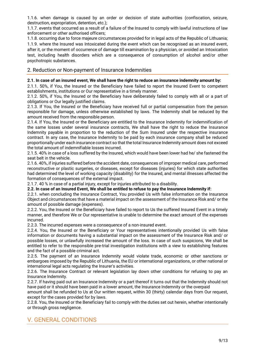1.1.6. when damage is caused by an order or decision of state authorities (confiscation, seizure, destruction, expropriation, detention, etc.);

1.1.7. events that occurred as a result of a failure of the Insured to comply with lawful instructions of law enforcement or other authorised officers;

1.1.8. occurring due to force majeure circumstances provided for in legal acts of the Republic of Lithuania; 1.1.9. where the Insured was Intoxicated during the event which can be recognised as an insured event, after it, or the moment of occurrence of damage till examination by a physician, or avoided an Intoxication test, including health disorders which are a consequence of consumption of alcohol and/or other psychotropic substances.

#### <span id="page-8-0"></span>2. Reduction or Non-payment of Insurance Indemnities

#### **2.1. In case of an insured event, We shall have the right to reduce an insurance indemnity amount by:**

2.1.1. 50%, if You, the Insured or the Beneficiary have failed to report the Insured Event to competent establishments, institutions or Our representative in a timely manner.

2.1.2. 50%, if You, the Insured or the Beneficiary have deliberately failed to comply with all or a part of obligations or Our legally justified claims.

2.1.3. If You, the Insured or the Beneficiary have received full or partial compensation from the person responsible for damage, unless otherwise established by laws. The Indemnity shall be reduced by the amount received from the responsible person.

2.1.4. If You, the Insured or the Beneficiary are entitled to the Insurance Indemnity for indemnification of the same losses under several insurance contracts, We shall have the right to reduce the Insurance Indemnity payable in proportion to the reduction of the Sum Insured under the respective insurance contract. In any case, the Insurance Indemnity to be paid by each insurance company shall be reduced proportionally under each insurance contract so that the total Insurance Indemnity amount does not exceed the total amount of indemnifiable losses incurred.

2.1.5. 40% in case of a loss suffered by the Insured, which would have been lower had he/ she fastened the seat belt in the vehicle.

2.1.6. 40%, if injuries suffered before the accident date, consequences of improper medical care, performed reconstructive or plastic surgeries, or diseases, except for diseases (injuries) for which state authorities had determined the level of working capacity (disability) for the Insured, and mental illnesses affected the formation of consequences of the external impact.

2.1.7. 40 % in case of a partial injury, except for injuries attributed to a disability.

#### **2.2. In case of an Insured Event, We shall be entitled to refuse to pay the Insurance Indemnity if:**

2.2.1. when concluding the Insurance Contract, You provided Us with false information on the Insurance Object and circumstances that have a material impact on the assessment of the Insurance Risk and/ or the amount of possible damage (expenses).

2.2.2. You, the Insured or the Beneficiary have failed to report to Us the suffered Insured Event in a timely manner, and therefore We or Our representative is unable to determine the exact amount of the expenses incurred.

2.2.3. The incurred expenses were a consequence of a non-insured event.

2.2.4. You, the Insured or the Beneficiary or Your representatives intentionally provided Us with false information or documents having a substantial impact on the assessment of the Insurance Risk and/ or possible losses, or unlawfully increased the amount of the loss. In case of such suspicions, We shall be entitled to refer to the responsible pre-trial investigation institutions with a view to establishing features and the fact of a possible criminal act.

2.2.5. The payment of an Insurance Indemnity would violate trade, economic or other sanctions or embargoes imposed by the Republic of Lithuania, the EU or international organizations, or other national or international legal acts regulating the Insurer's activities.

2.2.6. The Insurance Contract or relevant legislation lay down other conditions for refusing to pay an Insurance Indemnity.

2.2.7. If having paid out an Insurance Indemnity or a part thereof it turns out that the Indemnity should not have paid or it should have been paid in a lower amount, the Insurance Indemnity or the overpaid

amount shall be refunded to Us at Our written request, within 30 (thirty) calendar days from Our request, except for the cases provided for by laws.

2.2.8. You, the Insured or the Beneficiary fail to comply with the duties set out herein, whether intentionally or through gross negligence.

# <span id="page-8-1"></span>V. GENERAL CONDITIONS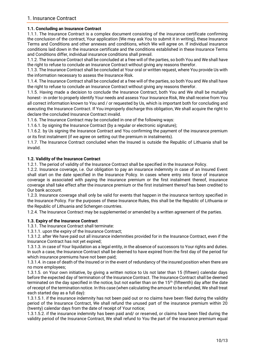#### <span id="page-9-0"></span>**1.1. Concluding an Insurance Contract**

1.1.1. The Insurance Contract is a complex document consisting of the insurance certificate confirming the conclusion of the contract, Your application (We may ask You to submit it in writing), these Insurance Terms and Conditions and other annexes and conditions, which We will agree on. If individual insurance conditions laid down in the insurance certificate and the conditions established in these Insurance Terms and Conditions differ, individual insurance conditions shall prevail.

1.1.2. The Insurance Contract shall be concluded at a free will of the parties, so both You and We shall have the right to refuse to conclude an Insurance Contract without giving any reasons therefor.

1.1.3. The Insurance Contract shall be concluded at Your oral or written request, where You provide Us with the information necessary to assess the Insurance Risk.

1.1.4. The Insurance Contract shall be concluded at a free will of the parties, so both You and We shall have the right to refuse to conclude an Insurance Contract without giving any reasons therefor.

1.1.5. Having made a decision to conclude the Insurance Contract, both You and We shall be mutually honest - in order to properly identify Your needs and assess Your Insurance Risk, We shall receive from You all correct information known to You and / or requested by Us, which is important both for concluding and executing the Insurance Contract. If You improperly discharge this obligation, We shall acquire the right to declare the concluded Insurance Contract invalid.

1.1.6. The Insurance Contract may be concluded in one of the following ways:

1.1.6.1. by signing the Insurance Contract (by a regular or electronic signature);

1.1.6.2. by Us signing the Insurance Contract and You confirming the payment of the insurance premium or its first instalment (if we agree on setting out the premium in instalments).

1.1.7. The Insurance Contract concluded when the Insured is outside the Republic of Lithuania shall be invalid.

#### **1.2. Validity of the Insurance Contract**

1.2.1. The period of validity of the Insurance Contract shall be specified in the Insurance Policy.

1.2.2. Insurance coverage, i.e. Our obligation to pay an insurance indemnity in case of an Insured Event shall start on the date specified in the Insurance Policy. In cases where entry into force of insurance coverage is associated with paying the insurance premium or the first instalment thereof, insurance coverage shall take effect after the insurance premium or the first instalment thereof has been credited to Our bank account.

1.2.3. Insurance coverage shall only be valid for events that happen in the insurance territory specified in the Insurance Policy. For the purposes of these Insurance Rules, this shall be the Republic of Lithuania or the Republic of Lithuania and Schengen countries.

1.2.4. The Insurance Contract may be supplemented or amended by a written agreement of the parties.

#### **1.3. Expiry of the Insurance Contract**

1.3.1. The Insurance Contract shall terminate:

1.3.1.1. upon the expiry of the Insurance Contract;

1.3.1.2. after We have paid out all insurance indemnities provided for in the Insurance Contract, even if the Insurance Contract has not yet expired;

1.3.1.3. in case of Your liquidation as a legal entity, in the absence of successors to Your rights and duties. In such a case, the Insurance Contract shall be deemed to have expired from the first day of the period for which insurance premiums have not been paid;

1.3.1.4. in case of death of the Insured or in the event of redundancy of the insured position when there are no more employees;

1.3.1.5. on Your own initiative, by giving a written notice to Us not later than 15 (fifteen) calendar days before the expected day of termination of the Insurance Contract. The Insurance Contract shall be deemed terminated on the day specified in the notice, but not earlier than on the 15th (fifteenth) day after the date of receipt of the termination notice. In this case (when calculating the amount to be refunded, We shall treat each started day as a full day):

1.3.1.5.1. if the insurance indemnity has not been paid out or no claims have been filed during the validity period of the Insurance Contract, We shall refund the unused part of the insurance premium within 20 (twenty) calendar days from the date of receipt of Your notice;

1.3.1.5.2. if the insurance indemnity has been paid and/ or reserved, or claims have been filed during the validity period of the Insurance Contract, We shall refund to You the part of the insurance premium equal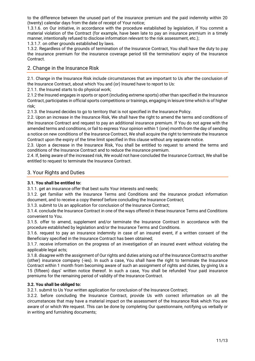to the difference between the unused part of the insurance premium and the paid indemnity within 20 (twenty) calendar days from the date of receipt of Your notice;

1.3.1.6. on Our initiative, in accordance with the procedure established by legislation, if You commit a material violation of the Contract (for example, have been late to pay an insurance premium in a timely manner, intentionally refused to disclose information relevant to the risk assessment, etc.);

1.3.1.7. on other grounds established by laws.

1.3.2. Regardless of the grounds of termination of the Insurance Contract, You shall have the duty to pay the insurance premium for the insurance coverage period till the termination/ expiry of the Insurance Contract.

## <span id="page-10-0"></span>2. Change in the Insurance Risk

2.1. Change in the Insurance Risk include circumstances that are important to Us after the conclusion of the Insurance Contract, about which You and (or) Insured have to report to Us:

2.1.1. the Insured starts to do physical work;

2.1.2 the Insured engages in sports or sport (including extreme sports) other than specified in the Insurance Contract, participates in official sports competitions or trainings, engaging in leisure time which is of higher risk;

2.1.3. the Insured decides to go to territory that is not specified in the Insurance Policy.

2.2. Upon an increase in the Insurance Risk, We shall have the right to amend the terms and conditions of the Insurance Contract and request to pay an additional insurance premium. If You do not agree with the amended terms and conditions, or fail to express Your opinion within 1 (one) month from the day of sending a notice on new conditions of the Insurance Contract, We shall acquire the right to terminate the Insurance Contract upon the expiry of the time limit specified in this clause without any separate notice.

2.3. Upon a decrease in the Insurance Risk, You shall be entitled to request to amend the terms and conditions of the Insurance Contract and to reduce the insurance premium.

2.4. If, being aware of the increased risk, We would not have concluded the Insurance Contract, We shall be entitled to request to terminate the Insurance Contract.

#### <span id="page-10-1"></span>3. Your Rights and Duties

#### **3.1. You shall be entitled to:**

3.1.1. get an insurance offer that best suits Your interests and needs;

3.1.2. get familiar with the Insurance Terms and Conditions and the insurance product information document, and to receive a copy thereof before concluding the Insurance Contract;

3.1.3. submit to Us an application for conclusion of the Insurance Contract;

3.1.4. conclude the Insurance Contract in one of the ways offered in these Insurance Terms and Conditions convenient to You.

3.1.5. offer to amend, supplement and/or terminate the Insurance Contract in accordance with the procedure established by legislation and/or the Insurance Terms and Conditions.

3.1.6. request to pay an insurance indemnity in case of an insured event, if a written consent of the Beneficiary specified in the Insurance Contract has been obtained;

3.1.7. receive information on the progress of an investigation of an insured event without violating the applicable legal acts;

3.1.8. disagree with the assignment of Our rights and duties arising out of the Insurance Contract to another (other) insurance company (-ies). In such a case, You shall have the right to terminate the Insurance Contract within 1 month from becoming aware of such an assignment of rights and duties, by giving Us a 15 (fifteen) days' written notice thereof. In such a case, You shall be refunded Your paid insurance premiums for the remaining period of validity of the Insurance Contract.

#### **3.2. You shall be obliged to:**

3.2.1. submit to Us Your written application for conclusion of the Insurance Contract;

3.2.2. before concluding the Insurance Contract, provide Us with correct information on all the circumstances that may have a material impact on the assessment of the Insurance Risk which You are aware of or which We request. This can be done by completing Our questionnaire, notifying us verbally or in writing and furnishing documents;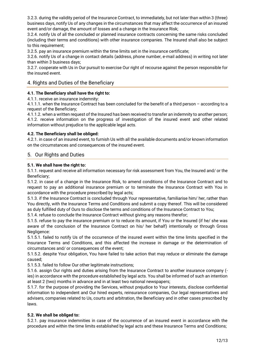3.2.3. during the validity period of the Insurance Contract, to immediately, but not later than within 3 (three) business days, notify Us of any changes in the circumstances that may affect the occurrence of an insured event and/or damage, the amount of losses and a change in the Insurance Risk;

3.2.4. notify Us of all the concluded or planned insurance contracts concerning the same risks concluded (including their terms and conditions) with other insurance companies. The Insured shall also be subject to this requirement;

3.2.5. pay an insurance premium within the time limits set in the insurance certificate;

3.2.6. notify Us of a change in contact details (address, phone number, e-mail address) in writing not later than within 3 business days;

3.2.7. cooperate with Us in Our pursuit to exercise Our right of recourse against the person responsible for the insured event.

## <span id="page-11-0"></span>4. Rights and Duties of the Beneficiary

#### **4.1. The Beneficiary shall have the right to:**

4.1.1. receive an insurance indemnity:

4.1.1.1. when the Insurance Contract has been concluded for the benefit of a third person – according to a request of the Beneficiary;

4.1.1.2. when a written request of the Insured has been received to transfer an indemnity to another person; 4.1.2. receive information on the progress of investigation of the insured event and other related information without prejudice to the applicable legal acts.

#### **4.2. The Beneficiary shall be obliged:**

4.2.1. in case of an insured event, to furnish Us with all the available documents and/or known information on the circumstances and consequences of the insured event.

#### <span id="page-11-1"></span>5. Our Rights and Duties

#### **5.1. We shall have the right to:**

5.1.1. request and receive all information necessary for risk assessment from You, the Insured and/ or the Beneficiary;

5.1.2. in case of a change in the Insurance Risk, to amend conditions of the Insurance Contract and to request to pay an additional insurance premium or to terminate the Insurance Contract with You in accordance with the procedure prescribed by legal acts;

5.1.3. if the Insurance Contract is concluded through Your representative, familiarise him/ her, rather than You directly, with the Insurance Terms and Conditions and submit a copy thereof. This will be considered as duly fulfilled duty of Ours to disclose the terms and conditions of the Insurance Contract to You;

5.1.4. refuse to conclude the Insurance Contract without giving any reasons therefor;

5.1.5. refuse to pay the insurance premium or to reduce its amount, if You or the Insured (if he/ she was aware of the conclusion of the Insurance Contract on his/ her behalf) intentionally or through Gross Negligence:

5.1.5.1. failed to notify Us of the occurrence of the insured event within the time limits specified in the Insurance Terms and Conditions, and this affected the increase in damage or the determination of circumstances and/ or consequences of the event;

5.1.5.2. despite Your obligation, You have failed to take action that may reduce or eliminate the damage caused;

5.1.5.3. failed to follow Our other legitimate instructions;

5.1.6. assign Our rights and duties arising from the Insurance Contract to another insurance company ( ies) in accordance with the procedure established by legal acts. You shall be informed of such an intention at least 2 (two) months in advance and in at least two national newspapers;

5.1.7. for the purpose of providing the Services, without prejudice to Your interests, disclose confidential information to independent and Our hired experts, reinsurance companies, Our legal representatives and advisers, companies related to Us, courts and arbitration, the Beneficiary and in other cases prescribed by laws.

#### **5.2. We shall be obliged to:**

5.2.1. pay insurance indemnities in case of the occurrence of an insured event in accordance with the procedure and within the time limits established by legal acts and these Insurance Terms and Conditions;